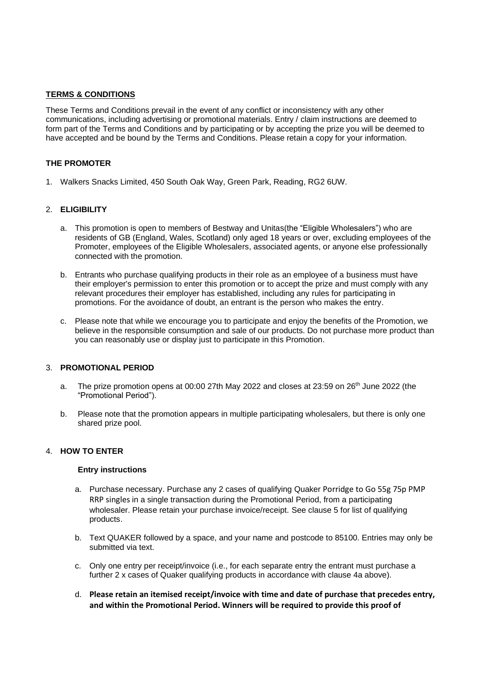### **TERMS & CONDITIONS**

These Terms and Conditions prevail in the event of any conflict or inconsistency with any other communications, including advertising or promotional materials. Entry / claim instructions are deemed to form part of the Terms and Conditions and by participating or by accepting the prize you will be deemed to have accepted and be bound by the Terms and Conditions. Please retain a copy for your information.

## **THE PROMOTER**

1. Walkers Snacks Limited, 450 South Oak Way, Green Park, Reading, RG2 6UW.

#### 2. **ELIGIBILITY**

- a. This promotion is open to members of Bestway and Unitas(the "Eligible Wholesalers") who are residents of GB (England, Wales, Scotland) only aged 18 years or over, excluding employees of the Promoter, employees of the Eligible Wholesalers, associated agents, or anyone else professionally connected with the promotion.
- b. Entrants who purchase qualifying products in their role as an employee of a business must have their employer's permission to enter this promotion or to accept the prize and must comply with any relevant procedures their employer has established, including any rules for participating in promotions. For the avoidance of doubt, an entrant is the person who makes the entry.
- c. Please note that while we encourage you to participate and enjoy the benefits of the Promotion, we believe in the responsible consumption and sale of our products. Do not purchase more product than you can reasonably use or display just to participate in this Promotion.

#### 3. **PROMOTIONAL PERIOD**

- a. The prize promotion opens at 00:00 27th May 2022 and closes at 23:59 on 26<sup>th</sup> June 2022 (the "Promotional Period").
- b. Please note that the promotion appears in multiple participating wholesalers, but there is only one shared prize pool.

#### 4. **HOW TO ENTER**

#### **Entry instructions**

- a. Purchase necessary. Purchase any 2 cases of qualifying Quaker Porridge to Go 55g 75p PMP RRP singles in a single transaction during the Promotional Period, from a participating wholesaler. Please retain your purchase invoice/receipt. See clause 5 for list of qualifying products.
- b. Text QUAKER followed by a space, and your name and postcode to 85100. Entries may only be submitted via text.
- c. Only one entry per receipt/invoice (i.e., for each separate entry the entrant must purchase a further 2 x cases of Quaker qualifying products in accordance with clause 4a above).
- d. **Please retain an itemised receipt/invoice with time and date of purchase that precedes entry, and within the Promotional Period. Winners will be required to provide this proof of**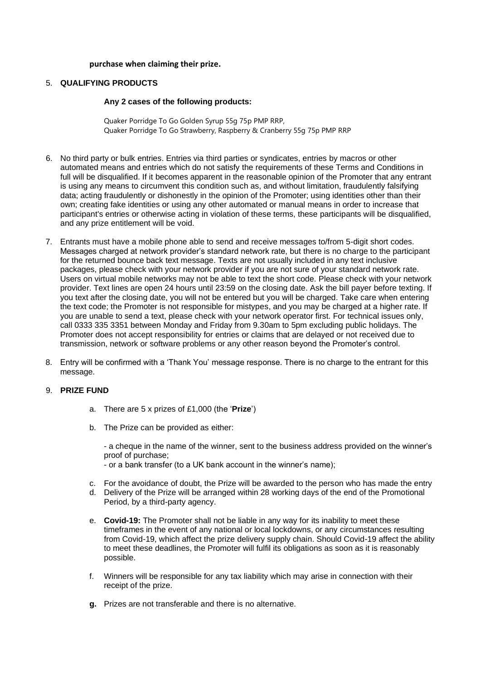### **purchase when claiming their prize.**

# 5. **QUALIFYING PRODUCTS**

#### **Any 2 cases of the following products:**

Quaker Porridge To Go Golden Syrup 55g 75p PMP RRP, Quaker Porridge To Go Strawberry, Raspberry & Cranberry 55g 75p PMP RRP

- 6. No third party or bulk entries. Entries via third parties or syndicates, entries by macros or other automated means and entries which do not satisfy the requirements of these Terms and Conditions in full will be disqualified. If it becomes apparent in the reasonable opinion of the Promoter that any entrant is using any means to circumvent this condition such as, and without limitation, fraudulently falsifying data; acting fraudulently or dishonestly in the opinion of the Promoter; using identities other than their own; creating fake identities or using any other automated or manual means in order to increase that participant's entries or otherwise acting in violation of these terms, these participants will be disqualified, and any prize entitlement will be void.
- 7. Entrants must have a mobile phone able to send and receive messages to/from 5-digit short codes. Messages charged at network provider's standard network rate, but there is no charge to the participant for the returned bounce back text message. Texts are not usually included in any text inclusive packages, please check with your network provider if you are not sure of your standard network rate. Users on virtual mobile networks may not be able to text the short code. Please check with your network provider. Text lines are open 24 hours until 23:59 on the closing date. Ask the bill payer before texting. If you text after the closing date, you will not be entered but you will be charged. Take care when entering the text code; the Promoter is not responsible for mistypes, and you may be charged at a higher rate. If you are unable to send a text, please check with your network operator first. For technical issues only, call 0333 335 3351 between Monday and Friday from 9.30am to 5pm excluding public holidays. The Promoter does not accept responsibility for entries or claims that are delayed or not received due to transmission, network or software problems or any other reason beyond the Promoter's control.
- 8. Entry will be confirmed with a 'Thank You' message response. There is no charge to the entrant for this message.

## 9. **PRIZE FUND**

- a. There are 5 x prizes of £1,000 (the '**Prize**')
- b. The Prize can be provided as either:

- a cheque in the name of the winner, sent to the business address provided on the winner's proof of purchase; - or a bank transfer (to a UK bank account in the winner's name);

- c. For the avoidance of doubt, the Prize will be awarded to the person who has made the entry
- d. Delivery of the Prize will be arranged within 28 working days of the end of the Promotional Period, by a third-party agency.
- e. **Covid-19:** The Promoter shall not be liable in any way for its inability to meet these timeframes in the event of any national or local lockdowns, or any circumstances resulting from Covid-19, which affect the prize delivery supply chain. Should Covid-19 affect the ability to meet these deadlines, the Promoter will fulfil its obligations as soon as it is reasonably possible.
- f. Winners will be responsible for any tax liability which may arise in connection with their receipt of the prize.
- **g.** Prizes are not transferable and there is no alternative.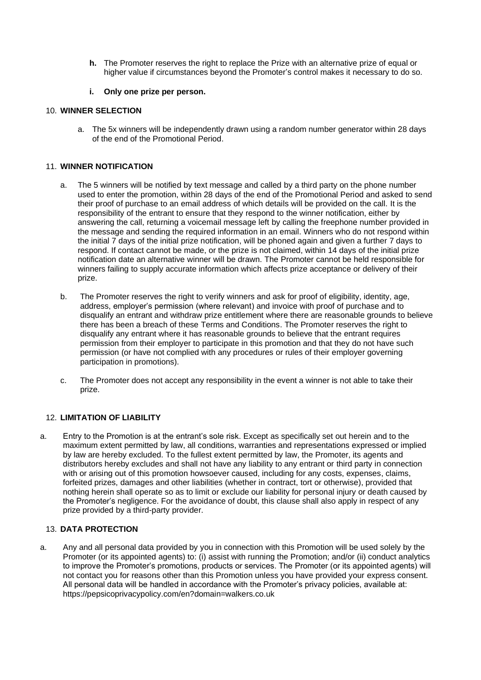**h.** The Promoter reserves the right to replace the Prize with an alternative prize of equal or higher value if circumstances beyond the Promoter's control makes it necessary to do so.

#### **i. Only one prize per person.**

# 10. **WINNER SELECTION**

a. The 5x winners will be independently drawn using a random number generator within 28 days of the end of the Promotional Period.

# 11. **WINNER NOTIFICATION**

- a. The 5 winners will be notified by text message and called by a third party on the phone number used to enter the promotion, within 28 days of the end of the Promotional Period and asked to send their proof of purchase to an email address of which details will be provided on the call. It is the responsibility of the entrant to ensure that they respond to the winner notification, either by answering the call, returning a voicemail message left by calling the freephone number provided in the message and sending the required information in an email. Winners who do not respond within the initial 7 days of the initial prize notification, will be phoned again and given a further 7 days to respond. If contact cannot be made, or the prize is not claimed, within 14 days of the initial prize notification date an alternative winner will be drawn. The Promoter cannot be held responsible for winners failing to supply accurate information which affects prize acceptance or delivery of their prize.
- b. The Promoter reserves the right to verify winners and ask for proof of eligibility, identity, age, address, employer's permission (where relevant) and invoice with proof of purchase and to disqualify an entrant and withdraw prize entitlement where there are reasonable grounds to believe there has been a breach of these Terms and Conditions. The Promoter reserves the right to disqualify any entrant where it has reasonable grounds to believe that the entrant requires permission from their employer to participate in this promotion and that they do not have such permission (or have not complied with any procedures or rules of their employer governing participation in promotions).
- c. The Promoter does not accept any responsibility in the event a winner is not able to take their prize.

## 12. **LIMITATION OF LIABILITY**

a. Entry to the Promotion is at the entrant's sole risk. Except as specifically set out herein and to the maximum extent permitted by law, all conditions, warranties and representations expressed or implied by law are hereby excluded. To the fullest extent permitted by law, the Promoter, its agents and distributors hereby excludes and shall not have any liability to any entrant or third party in connection with or arising out of this promotion howsoever caused, including for any costs, expenses, claims, forfeited prizes, damages and other liabilities (whether in contract, tort or otherwise), provided that nothing herein shall operate so as to limit or exclude our liability for personal injury or death caused by the Promoter's negligence. For the avoidance of doubt, this clause shall also apply in respect of any prize provided by a third-party provider.

# 13. **DATA PROTECTION**

a. Any and all personal data provided by you in connection with this Promotion will be used solely by the Promoter (or its appointed agents) to: (i) assist with running the Promotion; and/or (ii) conduct analytics to improve the Promoter's promotions, products or services. The Promoter (or its appointed agents) will not contact you for reasons other than this Promotion unless you have provided your express consent. All personal data will be handled in accordance with the Promoter's privacy policies, available at: https://pepsicoprivacypolicy.com/en?domain=walkers.co.uk